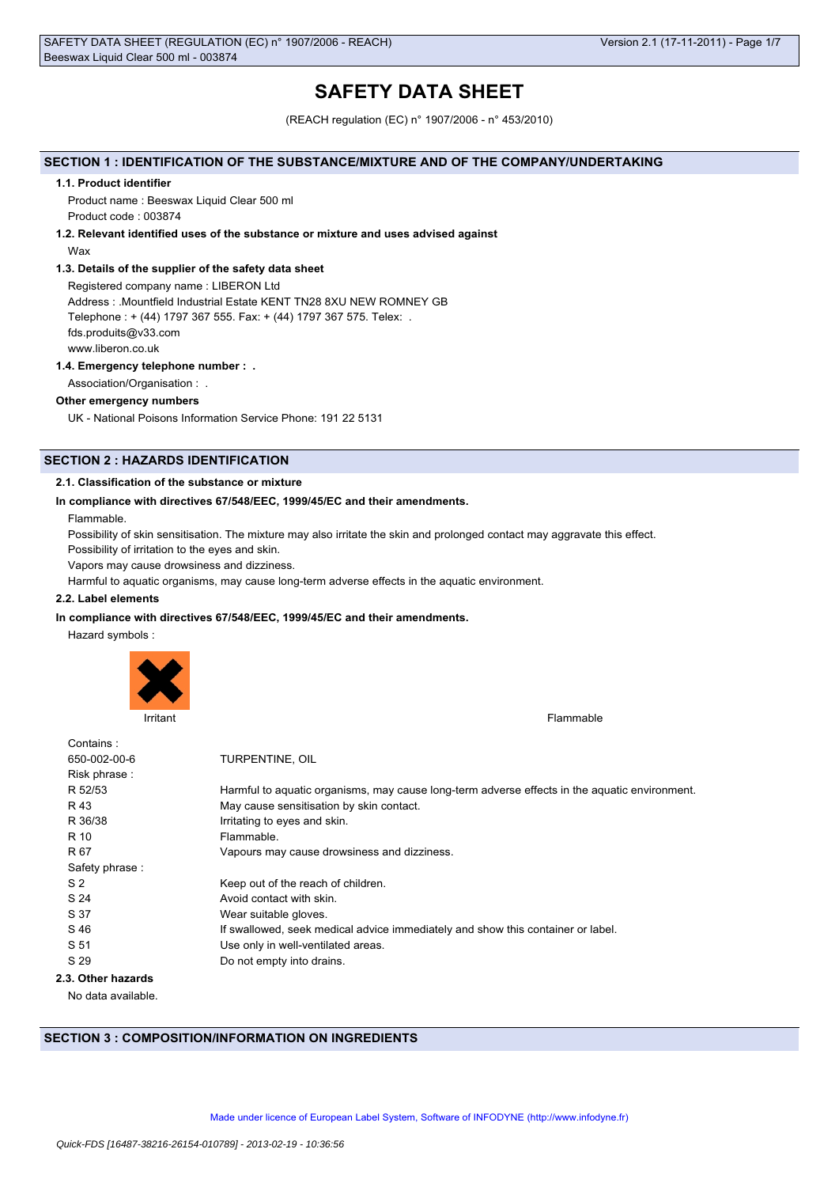# **SAFETY DATA SHEET**

(REACH regulation (EC) n° 1907/2006 - n° 453/2010)

# **SECTION 1 : IDENTIFICATION OF THE SUBSTANCE/MIXTURE AND OF THE COMPANY/UNDERTAKING**

#### **1.1. Product identifier**

Product name : Beeswax Liquid Clear 500 ml Product code : 003874

### **1.2. Relevant identified uses of the substance or mixture and uses advised against**

Wax

### **1.3. Details of the supplier of the safety data sheet**

Registered company name : LIBERON Ltd Address : .Mountfield Industrial Estate KENT TN28 8XU NEW ROMNEY GB Telephone : + (44) 1797 367 555. Fax: + (44) 1797 367 575. Telex: . fds.produits@v33.com www.liberon.co.uk

### **1.4. Emergency telephone number : .**

Association/Organisation : .

### **Other emergency numbers**

UK - National Poisons Information Service Phone: 191 22 5131

# **SECTION 2 : HAZARDS IDENTIFICATION**

### **2.1. Classification of the substance or mixture**

### **In compliance with directives 67/548/EEC, 1999/45/EC and their amendments.**

Flammable.

Possibility of skin sensitisation. The mixture may also irritate the skin and prolonged contact may aggravate this effect.

Possibility of irritation to the eyes and skin.

Vapors may cause drowsiness and dizziness.

Harmful to aquatic organisms, may cause long-term adverse effects in the aquatic environment.

### **2.2. Label elements**

### **In compliance with directives 67/548/EEC, 1999/45/EC and their amendments.**

Hazard symbols :



Irritant Flammable **Institute of the Community Community** Community Community Community Community Community Community Community Community Community Community Community Community Community Community Community Community Comm

| Contains:          |                                                                                               |
|--------------------|-----------------------------------------------------------------------------------------------|
| 650-002-00-6       | TURPENTINE, OIL                                                                               |
| Risk phrase:       |                                                                                               |
| R 52/53            | Harmful to aguatic organisms, may cause long-term adverse effects in the aguatic environment. |
| R 43               | May cause sensitisation by skin contact.                                                      |
| R 36/38            | Irritating to eyes and skin.                                                                  |
| R 10               | Flammable.                                                                                    |
| R 67               | Vapours may cause drowsiness and dizziness.                                                   |
| Safety phrase:     |                                                                                               |
| S <sub>2</sub>     | Keep out of the reach of children.                                                            |
| S 24               | Avoid contact with skin.                                                                      |
| S 37               | Wear suitable gloves.                                                                         |
| S 46               | If swallowed, seek medical advice immediately and show this container or label.               |
| S 51               | Use only in well-ventilated areas.                                                            |
| S 29               | Do not empty into drains.                                                                     |
| 2.3. Other hazards |                                                                                               |
|                    |                                                                                               |

No data available.

# **SECTION 3 : COMPOSITION/INFORMATION ON INGREDIENTS**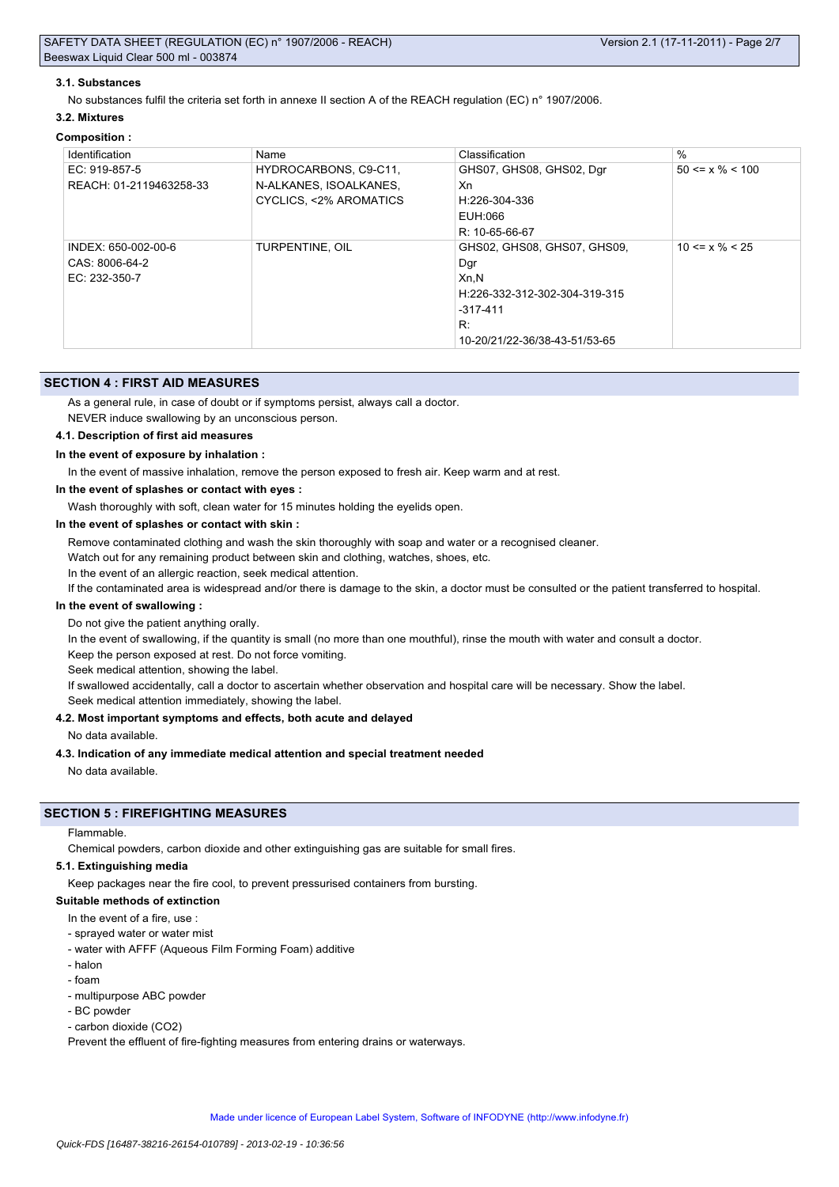### **3.1. Substances**

No substances fulfil the criteria set forth in annexe II section A of the REACH regulation (EC) n° 1907/2006.

#### **3.2. Mixtures**

### **Composition :**

| Identification          | Name                   | Classification                | $\%$                  |
|-------------------------|------------------------|-------------------------------|-----------------------|
| EC: 919-857-5           | HYDROCARBONS, C9-C11,  | GHS07, GHS08, GHS02, Dgr      | $50 \le x \% \le 100$ |
| REACH: 01-2119463258-33 | N-ALKANES, ISOALKANES, | Xn                            |                       |
|                         | CYCLICS, <2% AROMATICS | H:226-304-336                 |                       |
|                         |                        | EUH:066                       |                       |
|                         |                        | R: 10-65-66-67                |                       |
| INDEX: 650-002-00-6     | TURPENTINE, OIL        | GHS02, GHS08, GHS07, GHS09,   | $10 \le x \% \le 25$  |
| CAS: 8006-64-2          |                        | Dar                           |                       |
| EC: 232-350-7           |                        | Xn, N                         |                       |
|                         |                        | H:226-332-312-302-304-319-315 |                       |
|                         |                        | $-317-411$                    |                       |
|                         |                        | R:                            |                       |
|                         |                        | 10-20/21/22-36/38-43-51/53-65 |                       |

### **SECTION 4 : FIRST AID MEASURES**

As a general rule, in case of doubt or if symptoms persist, always call a doctor.

NEVER induce swallowing by an unconscious person.

### **4.1. Description of first aid measures**

### **In the event of exposure by inhalation :**

In the event of massive inhalation, remove the person exposed to fresh air. Keep warm and at rest.

**In the event of splashes or contact with eyes :**

Wash thoroughly with soft, clean water for 15 minutes holding the eyelids open.

#### **In the event of splashes or contact with skin :**

Remove contaminated clothing and wash the skin thoroughly with soap and water or a recognised cleaner.

Watch out for any remaining product between skin and clothing, watches, shoes, etc.

In the event of an allergic reaction, seek medical attention.

If the contaminated area is widespread and/or there is damage to the skin, a doctor must be consulted or the patient transferred to hospital.

### **In the event of swallowing :**

Do not give the patient anything orally.

In the event of swallowing, if the quantity is small (no more than one mouthful), rinse the mouth with water and consult a doctor.

Keep the person exposed at rest. Do not force vomiting.

Seek medical attention, showing the label.

If swallowed accidentally, call a doctor to ascertain whether observation and hospital care will be necessary. Show the label.

Seek medical attention immediately, showing the label.

### **4.2. Most important symptoms and effects, both acute and delayed**

No data available.

#### **4.3. Indication of any immediate medical attention and special treatment needed**

No data available.

# **SECTION 5 : FIREFIGHTING MEASURES**

Flammable.

Chemical powders, carbon dioxide and other extinguishing gas are suitable for small fires.

#### **5.1. Extinguishing media**

Keep packages near the fire cool, to prevent pressurised containers from bursting.

### **Suitable methods of extinction**

- In the event of a fire, use
- sprayed water or water mist
- water with AFFF (Aqueous Film Forming Foam) additive
- halon
- foam
- multipurpose ABC powder
- BC powder
- carbon dioxide (CO2)

Prevent the effluent of fire-fighting measures from entering drains or waterways.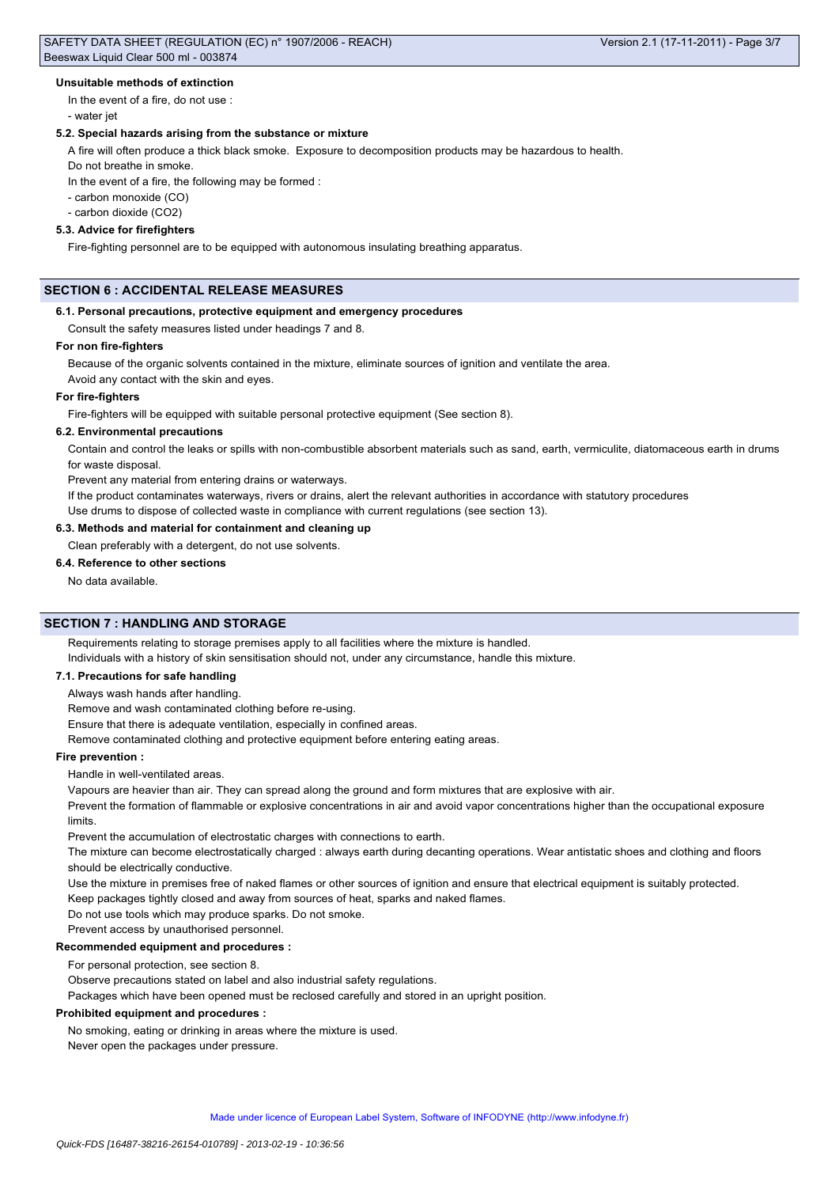### **Unsuitable methods of extinction**

In the event of a fire, do not use : - water jet

# **5.2. Special hazards arising from the substance or mixture**

A fire will often produce a thick black smoke. Exposure to decomposition products may be hazardous to health.

Do not breathe in smoke.

In the event of a fire, the following may be formed :

- carbon monoxide (CO)

- carbon dioxide (CO2)

# **5.3. Advice for firefighters**

Fire-fighting personnel are to be equipped with autonomous insulating breathing apparatus.

# **SECTION 6 : ACCIDENTAL RELEASE MEASURES**

#### **6.1. Personal precautions, protective equipment and emergency procedures**

Consult the safety measures listed under headings 7 and 8.

### **For non fire-fighters**

Because of the organic solvents contained in the mixture, eliminate sources of ignition and ventilate the area. Avoid any contact with the skin and eyes.

#### **For fire-fighters**

Fire-fighters will be equipped with suitable personal protective equipment (See section 8).

### **6.2. Environmental precautions**

Contain and control the leaks or spills with non-combustible absorbent materials such as sand, earth, vermiculite, diatomaceous earth in drums for waste disposal.

Prevent any material from entering drains or waterways.

If the product contaminates waterways, rivers or drains, alert the relevant authorities in accordance with statutory procedures

Use drums to dispose of collected waste in compliance with current regulations (see section 13).

### **6.3. Methods and material for containment and cleaning up**

Clean preferably with a detergent, do not use solvents.

**6.4. Reference to other sections**

No data available.

# **SECTION 7 : HANDLING AND STORAGE**

Requirements relating to storage premises apply to all facilities where the mixture is handled.

Individuals with a history of skin sensitisation should not, under any circumstance, handle this mixture.

# **7.1. Precautions for safe handling**

Always wash hands after handling.

Remove and wash contaminated clothing before re-using.

Ensure that there is adequate ventilation, especially in confined areas.

Remove contaminated clothing and protective equipment before entering eating areas.

# **Fire prevention :**

Handle in well-ventilated areas.

Vapours are heavier than air. They can spread along the ground and form mixtures that are explosive with air.

Prevent the formation of flammable or explosive concentrations in air and avoid vapor concentrations higher than the occupational exposure limits.

Prevent the accumulation of electrostatic charges with connections to earth.

The mixture can become electrostatically charged : always earth during decanting operations. Wear antistatic shoes and clothing and floors should be electrically conductive.

Use the mixture in premises free of naked flames or other sources of ignition and ensure that electrical equipment is suitably protected.

Keep packages tightly closed and away from sources of heat, sparks and naked flames.

Do not use tools which may produce sparks. Do not smoke.

Prevent access by unauthorised personnel.

#### **Recommended equipment and procedures :**

For personal protection, see section 8.

Observe precautions stated on label and also industrial safety regulations.

Packages which have been opened must be reclosed carefully and stored in an upright position.

### **Prohibited equipment and procedures :**

No smoking, eating or drinking in areas where the mixture is used.

Never open the packages under pressure.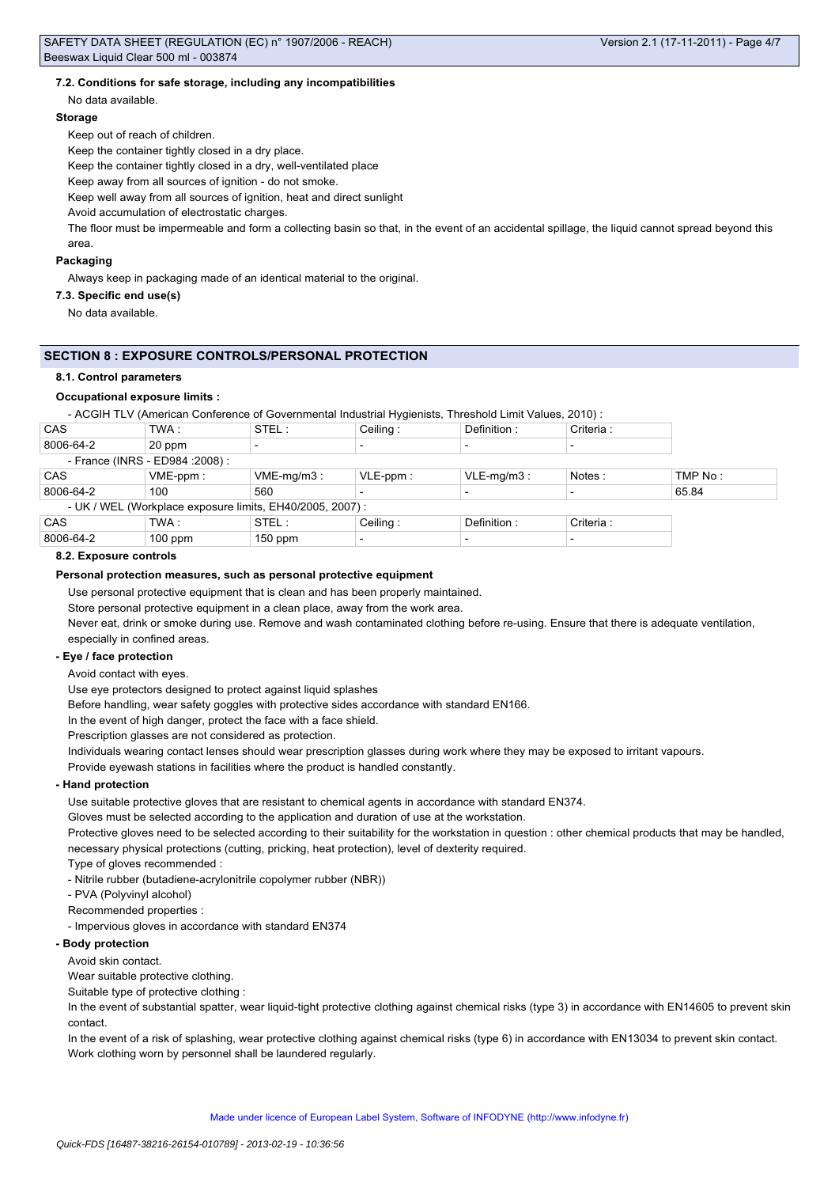### **7.2. Conditions for safe storage, including any incompatibilities**

No data available.

### **Storage**

Keep out of reach of children.

Keep the container tightly closed in a dry place.

Keep the container tightly closed in a dry, well-ventilated place

Keep away from all sources of ignition - do not smoke.

Keep well away from all sources of ignition, heat and direct sunlight

Avoid accumulation of electrostatic charges.

The floor must be impermeable and form a collecting basin so that, in the event of an accidental spillage, the liquid cannot spread beyond this area.

### **Packaging**

Always keep in packaging made of an identical material to the original.

**7.3. Specific end use(s)**

No data available.

### **SECTION 8 : EXPOSURE CONTROLS/PERSONAL PROTECTION**

#### **8.1. Control parameters**

### **Occupational exposure limits :**

- ACGIH TLV (American Conference of Governmental Industrial Hygienists, Threshold Limit Values, 2010) :

| CAS                                                       | TWA :       | STEL :        | Ceiling:    | Definition:   | Criteria : |         |
|-----------------------------------------------------------|-------------|---------------|-------------|---------------|------------|---------|
| 8006-64-2                                                 | 20 ppm      |               |             |               |            |         |
| - France (INRS - ED984 : 2008) :                          |             |               |             |               |            |         |
| CAS                                                       | $VME-ppm$ : | $VME-mq/m3$ : | $VLE-ppm$ : | $VLE-mq/m3$ : | Notes:     | TMP No: |
| 8006-64-2                                                 | 100         | 560           |             |               |            | 65.84   |
| - UK / WEL (Workplace exposure limits, EH40/2005, 2007) : |             |               |             |               |            |         |
| CAS                                                       | TWA :       | STEL:         | Ceiling:    | Definition:   | Criteria : |         |
| 8006-64-2                                                 | $100$ ppm   | $150$ ppm     |             |               |            |         |

#### **8.2. Exposure controls**

### **Personal protection measures, such as personal protective equipment**

Use personal protective equipment that is clean and has been properly maintained.

Store personal protective equipment in a clean place, away from the work area.

Never eat, drink or smoke during use. Remove and wash contaminated clothing before re-using. Ensure that there is adequate ventilation, especially in confined areas.

### **- Eye / face protection**

Avoid contact with eyes.

Use eye protectors designed to protect against liquid splashes

Before handling, wear safety goggles with protective sides accordance with standard EN166.

In the event of high danger, protect the face with a face shield.

Prescription glasses are not considered as protection.

Individuals wearing contact lenses should wear prescription glasses during work where they may be exposed to irritant vapours.

Provide eyewash stations in facilities where the product is handled constantly.

#### **- Hand protection**

Use suitable protective gloves that are resistant to chemical agents in accordance with standard EN374.

Gloves must be selected according to the application and duration of use at the workstation.

Protective gloves need to be selected according to their suitability for the workstation in question : other chemical products that may be handled, necessary physical protections (cutting, pricking, heat protection), level of dexterity required.

Type of gloves recommended :

- Nitrile rubber (butadiene-acrylonitrile copolymer rubber (NBR))

- PVA (Polyvinyl alcohol)

Recommended properties :

- Impervious gloves in accordance with standard EN374

### **- Body protection**

Avoid skin contact.

Wear suitable protective clothing.

Suitable type of protective clothing :

In the event of substantial spatter, wear liquid-tight protective clothing against chemical risks (type 3) in accordance with EN14605 to prevent skin contact.

In the event of a risk of splashing, wear protective clothing against chemical risks (type 6) in accordance with EN13034 to prevent skin contact. Work clothing worn by personnel shall be laundered regularly.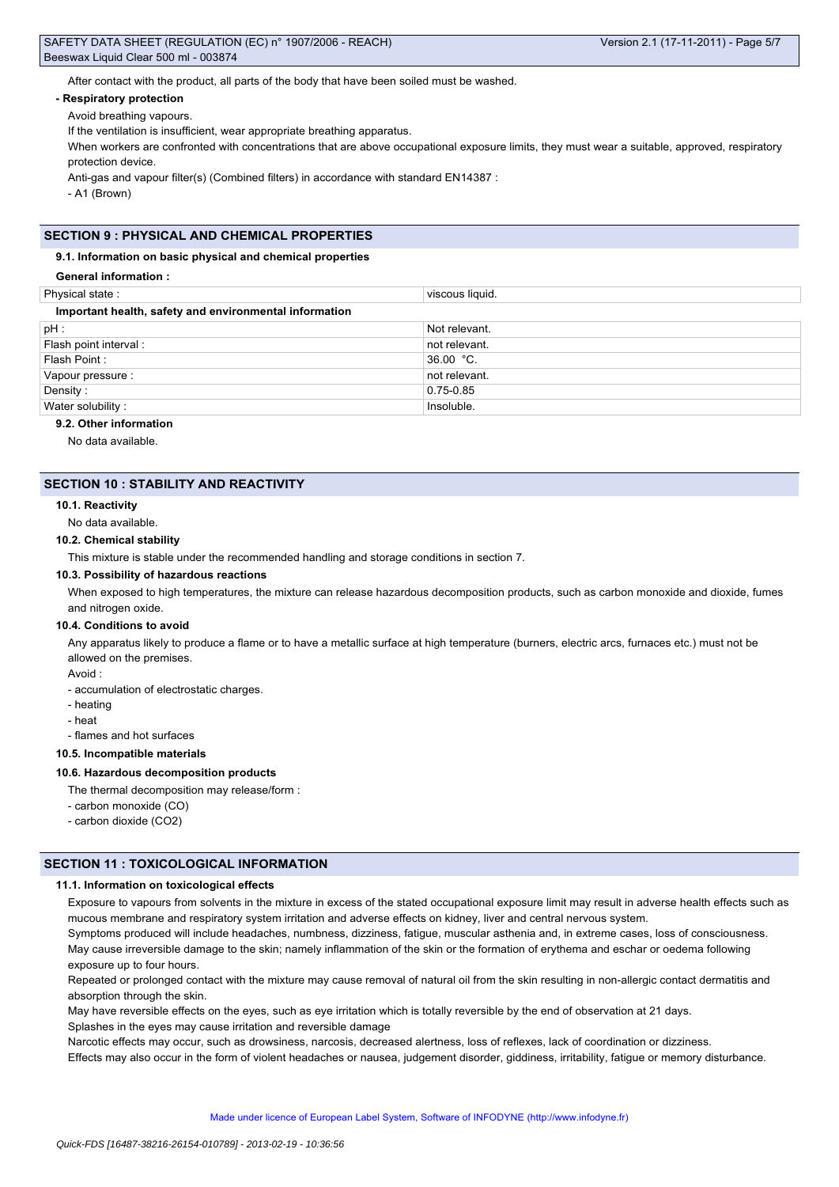After contact with the product, all parts of the body that have been soiled must be washed.

### **- Respiratory protection**

Avoid breathing vapours.

If the ventilation is insufficient, wear appropriate breathing apparatus.

When workers are confronted with concentrations that are above occupational exposure limits, they must wear a suitable, approved, respiratory protection device.

Anti-gas and vapour filter(s) (Combined filters) in accordance with standard EN14387 :

- A1 (Brown)

# **SECTION 9 : PHYSICAL AND CHEMICAL PROPERTIES**

#### **9.1. Information on basic physical and chemical properties**

# **General information :**

| Physical state:                                        | viscous liquid. |  |  |  |
|--------------------------------------------------------|-----------------|--|--|--|
| Important health, safety and environmental information |                 |  |  |  |
| pH :                                                   | Not relevant.   |  |  |  |
| Flash point interval :                                 | not relevant.   |  |  |  |
| Flash Point:                                           | $36.00 °C$ .    |  |  |  |
| Vapour pressure :                                      | not relevant.   |  |  |  |
| Density:                                               | 0.75-0.85       |  |  |  |
| Water solubility:                                      | Insoluble.      |  |  |  |
| $\sim$ $\sim$ $\sim$ $\sim$ $\sim$ $\sim$              |                 |  |  |  |

# **9.2. Other information**

No data available.

### **SECTION 10 : STABILITY AND REACTIVITY**

### **10.1. Reactivity**

No data available.

#### **10.2. Chemical stability**

This mixture is stable under the recommended handling and storage conditions in section 7.

### **10.3. Possibility of hazardous reactions**

When exposed to high temperatures, the mixture can release hazardous decomposition products, such as carbon monoxide and dioxide, fumes and nitrogen oxide.

#### **10.4. Conditions to avoid**

Any apparatus likely to produce a flame or to have a metallic surface at high temperature (burners, electric arcs, furnaces etc.) must not be allowed on the premises.

Avoid :

- accumulation of electrostatic charges.
- heating
- heat
- flames and hot surfaces

# **10.5. Incompatible materials**

### **10.6. Hazardous decomposition products**

- The thermal decomposition may release/form :
- carbon monoxide (CO)
- carbon dioxide (CO2)

# **SECTION 11 : TOXICOLOGICAL INFORMATION**

### **11.1. Information on toxicological effects**

Exposure to vapours from solvents in the mixture in excess of the stated occupational exposure limit may result in adverse health effects such as mucous membrane and respiratory system irritation and adverse effects on kidney, liver and central nervous system.

Symptoms produced will include headaches, numbness, dizziness, fatigue, muscular asthenia and, in extreme cases, loss of consciousness. May cause irreversible damage to the skin; namely inflammation of the skin or the formation of erythema and eschar or oedema following exposure up to four hours.

Repeated or prolonged contact with the mixture may cause removal of natural oil from the skin resulting in non-allergic contact dermatitis and absorption through the skin.

May have reversible effects on the eyes, such as eye irritation which is totally reversible by the end of observation at 21 days. Splashes in the eyes may cause irritation and reversible damage

Narcotic effects may occur, such as drowsiness, narcosis, decreased alertness, loss of reflexes, lack of coordination or dizziness.

Effects may also occur in the form of violent headaches or nausea, judgement disorder, giddiness, irritability, fatigue or memory disturbance.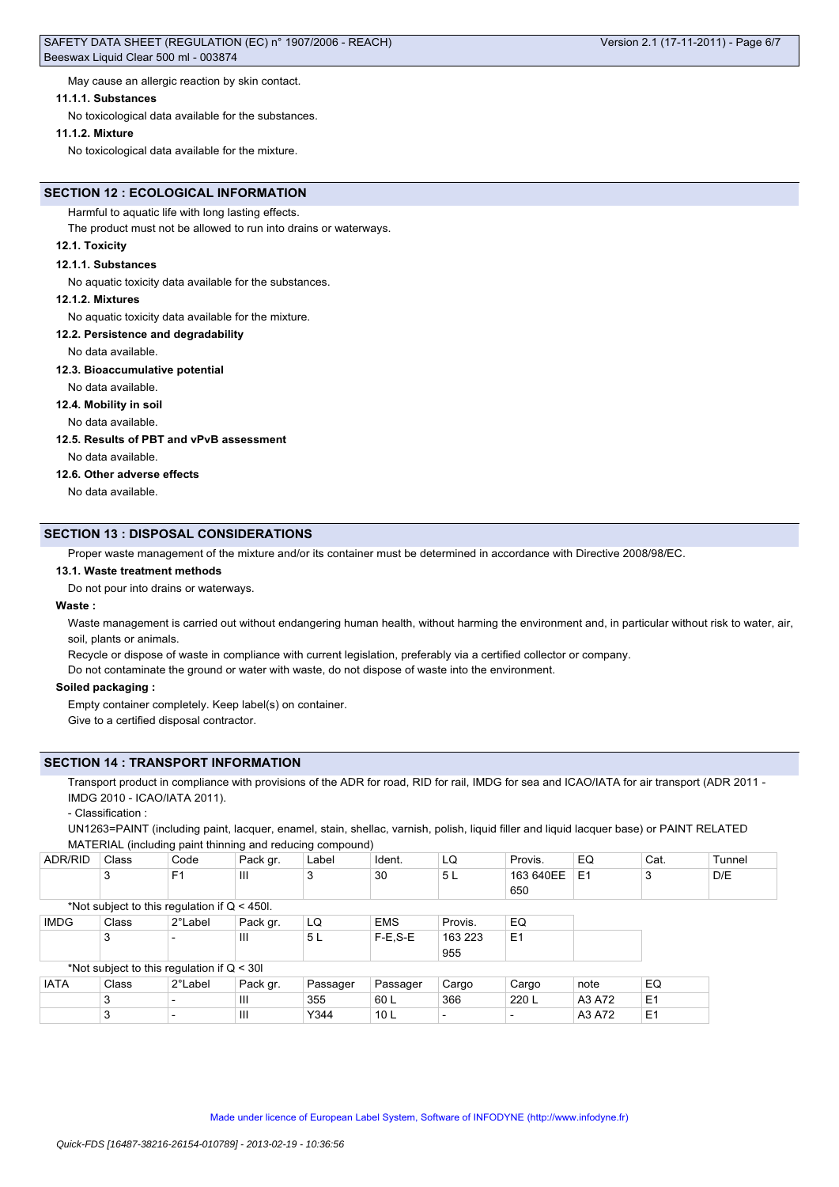May cause an allergic reaction by skin contact.

#### **11.1.1. Substances**

No toxicological data available for the substances.

#### **11.1.2. Mixture**

No toxicological data available for the mixture.

# **SECTION 12 : ECOLOGICAL INFORMATION**

Harmful to aquatic life with long lasting effects.

The product must not be allowed to run into drains or waterways.

### **12.1. Toxicity**

#### **12.1.1. Substances**

No aquatic toxicity data available for the substances.

#### **12.1.2. Mixtures**

No aquatic toxicity data available for the mixture.

#### **12.2. Persistence and degradability**

No data available.

#### **12.3. Bioaccumulative potential**

No data available.

#### **12.4. Mobility in soil**

No data available.

### **12.5. Results of PBT and vPvB assessment**

No data available.

### **12.6. Other adverse effects**

No data available.

### **SECTION 13 : DISPOSAL CONSIDERATIONS**

Proper waste management of the mixture and/or its container must be determined in accordance with Directive 2008/98/EC.

#### **13.1. Waste treatment methods**

Do not pour into drains or waterways.

### **Waste :**

Waste management is carried out without endangering human health, without harming the environment and, in particular without risk to water, air, soil, plants or animals.

Recycle or dispose of waste in compliance with current legislation, preferably via a certified collector or company.

Do not contaminate the ground or water with waste, do not dispose of waste into the environment.

#### **Soiled packaging :**

Empty container completely. Keep label(s) on container. Give to a certified disposal contractor.

### **SECTION 14 : TRANSPORT INFORMATION**

Transport product in compliance with provisions of the ADR for road, RID for rail, IMDG for sea and ICAO/IATA for air transport (ADR 2011 -IMDG 2010 - ICAO/IATA 2011).

- Classification :

UN1263=PAINT (including paint, lacquer, enamel, stain, shellac, varnish, polish, liquid filler and liquid lacquer base) or PAINT RELATED MATERIAL (including paint thinning and reducing compound)

| ADR/RID     | Class                                          | Code           | Pack gr.       | Label    | Ident.          | LQ                       | Provis.        | EQ     | Cat.           | Tunnel |
|-------------|------------------------------------------------|----------------|----------------|----------|-----------------|--------------------------|----------------|--------|----------------|--------|
|             | 3                                              | F <sub>1</sub> | Ш              | 3        | 30              | 5 L                      | 163 640EE      | E1     | 3              | D/E    |
|             |                                                |                |                |          |                 |                          | 650            |        |                |        |
|             | *Not subject to this regulation if $Q < 450$ . |                |                |          |                 |                          |                |        |                |        |
| <b>IMDG</b> | Class                                          | 2°Label        | Pack gr.       | LQ       | <b>EMS</b>      | Provis.                  | EQ             |        |                |        |
|             | 3                                              |                | Ш              | 5L       | $F-E$ , $S-E$   | 163 223                  | E <sub>1</sub> |        |                |        |
|             |                                                |                |                |          |                 | 955                      |                |        |                |        |
|             | *Not subject to this regulation if $Q < 30I$   |                |                |          |                 |                          |                |        |                |        |
| <b>IATA</b> | Class                                          | 2°Label        | Pack gr.       | Passager | Passager        | Cargo                    | Cargo          | note   | EQ             |        |
|             | 3                                              |                | Ш              | 355      | 60 L            | 366                      | 220 L          | A3 A72 | E <sub>1</sub> |        |
|             | 3                                              |                | $\mathbf{III}$ | Y344     | 10 <sub>L</sub> | $\overline{\phantom{0}}$ |                | A3 A72 | E <sub>1</sub> |        |